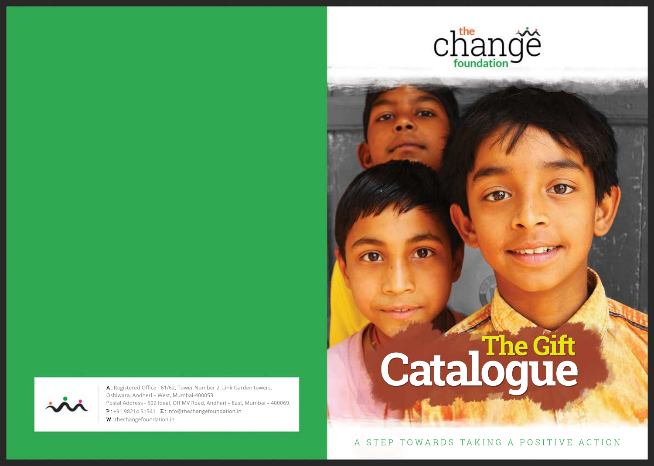



P: +91 98214 51541 E: info@thechangefoundation.in W: thechangefoundation.in A: Registered Office - 61/62, Tower Number 2, Link Garden towers, Oshiwara, Andheri - West, Mumbai-400053. Postal Address - 502 Ideal, Off MV Road, Andheri - East, Mumbai - 400069.

# **Catalogue TheGift**

A STEP TOW ARDS TAKING A POSITIVE ACTION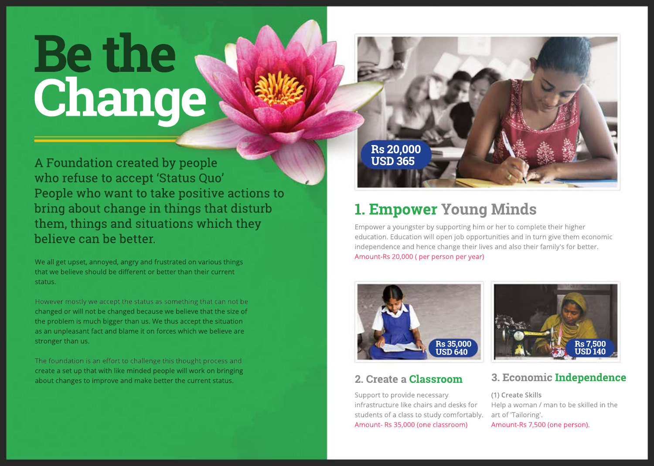# **Bethe Change**

A Foundation created by people who refuse to accept 'Status Quo' People who want to take positive actions to bring about change in things that disturb them, things and situations which they believe can be better.

We all get upset, annoyed, angry and frustrated on various things that we believe should be different or better than their current status.

However mostly we accept the status as something that can not be changed or will not be changed because we believe that the size of the problem is much bigger than us. We thus accept the situation as an unpleasant fact and blame it on forces which we believe are stronger than us.

The foundation is an effort to challenge this thought process and create a set up that with like minded people will work on bringing about changes to improve and make better the current status.

**Rs20,000 USD365**

## **1. Empower Young Minds**

Empower a youngster by supporting him or her to complete their higher education. Education will open job opportunities and in turn give them economic independence and hence change their lives and also their family's for better. Amount-Rs 20,000 (per person per year)



#### **2.CreateaClassroom**

Support to provide necessary infrastructure like chairs and desks for students of a class to study comfortably. Amount-Rs 35,000 (one classroom)



#### **3.EconomicIndependence**

(1) Create Skills Help a woman / man to be skilled in the artof'Tailoring'. Amount-Rs 7,500 (one person).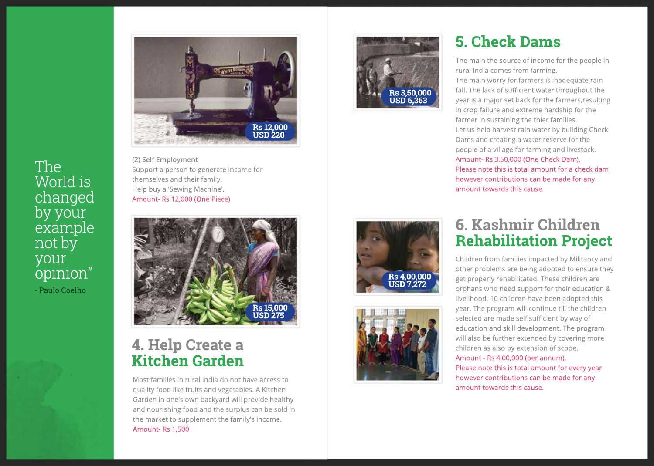

**( 2 ) S e l f E m p l o y m e n t** Support a person to generate income for themselves and their family.  $\,$ Help buy a 'Sewing Machine'. Amount- Rs 12,000 (One Piece)

The

World is

changed

by your l

n o t b y

your

e x a m p l e

opinion" –

- Paulo Coelho



#### **4. Help Create a Kitchen Garden**

Most families in rural India do not have access to quality food like fruits and vegetables. A Kitchen Garden in one's own backyard will provide healthy and nourishing food and the surplus can be sold in the market to supplement the family's income. Amount- Rs 1,500



### **5**. Check Dams

The main the source of income for the people in rural India comes from farming. The main worry for farmers is inadequate rain fall. The lack of sufficient water throughout the year is a major set back for the farmers,resulting in crop failure and extreme hardship for the farmer in sustaining the thier families. Let us help harvest rain water by building Check Dams and creating a water reserve for the people of a village for farming and livestock. Amount- Rs 3,50,000 (One Check Dam). Please note this is total amount for a check dam however contributions can be made for any amount towards this cause.





#### **6 . K a s h m i r C h i l d r e n R e h ab i l i t at i o n P r o j e c t**

Children from families impacted by Militancy and other problems are being adopted to ensure they get properly rehabilitated. These children are orphans who need support for their education & livelihood. 10 children have been adopted this year. The program will continue till the children selected are made self sufficient by way of education and skill development. The program will also be further extended by covering more children as also by extension of scope. Amount - Rs 4,00,000 (per annum). Please note this is total amount for every year

however contributions can be made for any

amount towards this cause.

**USD 7,272**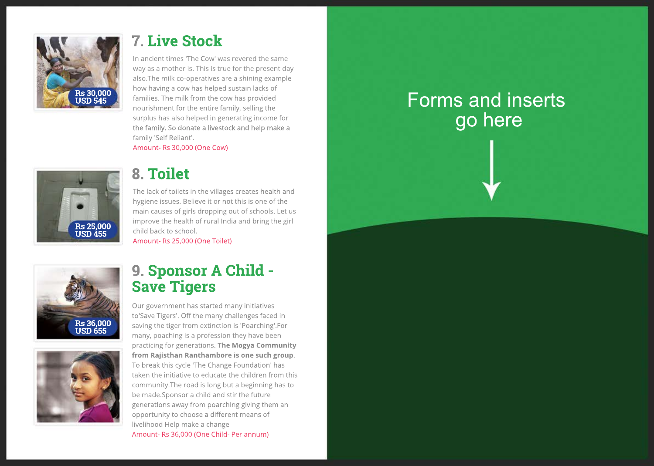

#### **7**. Live Stock

In ancient times 'The Cow' was revered the same way as a mother is. This is true for the present day also.The milk co-operatives are a shining example how having a cow has helped sustain lacks of families. The milk from the cow has provided nourishment for the entire family, selling the surplus has also helped in generating income for  $\overline{\phantom{a}}$ the family. So donate a livestock and help make a family 'Self Reliant'.

Amount- Rs 30,000 (One Cow)



### **8. Toilet**

The lack of toilets in the villages creates health and hygiene issues. Believe it or not this is one of the main causes of girls dropping out of schools. Let us improve the health of rural India and bring the girl child back to school. Amount- Rs 25,000 (One Toilet)



#### **9 . S p o n s o r A C h i l d - Save Tigers**

Our government has started many initiatives to'Save Tigers'. Off the many challenges faced in saving the tiger from extinction is 'Poarching'.For many, poaching is a profession they have been practicing for generations. The Mogya Community from Rajisthan Ranthambore is one such group. To break this cycle 'The Change Foundation' has taken the initiative to educate the children from this community.The road is long but a beginning has to be made.Sponsor a child and stir the future generations away from poarching giving them an opportunity to choose a different means of livelihood Help make a change Amount- Rs 36,000 (One Child- Per annum)

# Forms and inserts go here